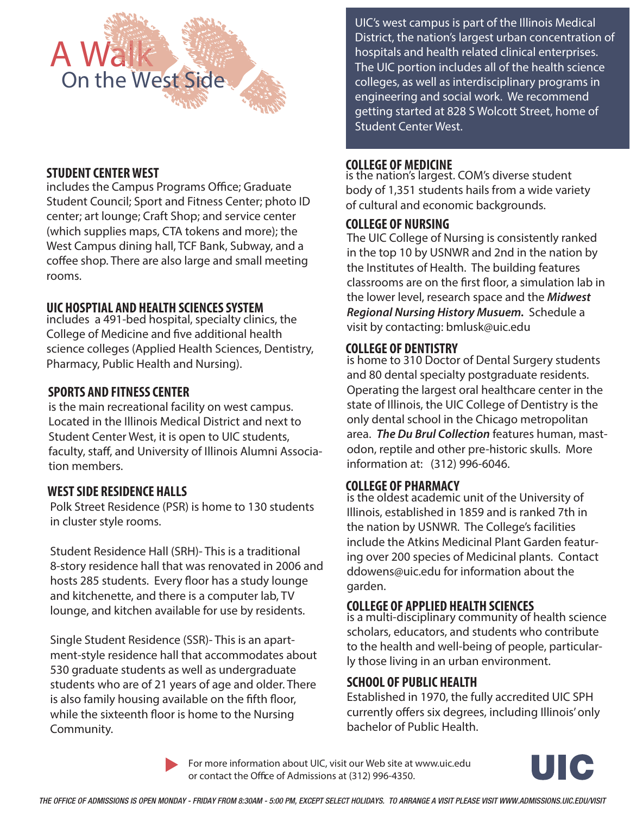

# **STUDENT CENTER WEST**

includes the Campus Programs Office; Graduate Student Council; Sport and Fitness Center; photo ID center; art lounge; Craft Shop; and service center (which supplies maps, CTA tokens and more); the West Campus dining hall, TCF Bank, Subway, and a coffee shop. There are also large and small meeting rooms.

# **UIC HOSPTIAL AND HEALTH SCIENCES SYSTEM**

 science colleges (Applied Health Sciences, Dentistry, includes a 491-bed hospital, specialty clinics, the College of Medicine and five additional health Pharmacy, Public Health and Nursing).

# **SPORTS AND FITNESS CENTER**

is the main recreational facility on west campus. Located in the Illinois Medical District and next to Student Center West, it is open to UIC students, faculty, staff, and University of Illinois Alumni Association members.

## **WEST SIDE RESIDENCE HALLS**

Polk Street Residence (PSR) is home to 130 students in cluster style rooms.

Student Residence Hall (SRH)- This is a traditional 8-story residence hall that was renovated in 2006 and hosts 285 students. Every floor has a study lounge and kitchenette, and there is a computer lab, TV lounge, and kitchen available for use by residents.

Single Student Residence (SSR)- This is an apartment-style residence hall that accommodates about 530 graduate students as well as undergraduate students who are of 21 years of age and older. There is also family housing available on the fifth floor, while the sixteenth floor is home to the Nursing Community.

UIC's west campus is part of the Illinois Medical District, the nation's largest urban concentration of hospitals and health related clinical enterprises. The UIC portion includes all of the health science colleges, as well as interdisciplinary programs in engineering and social work. We recommend getting started at 828 S Wolcott Street, home of Student Center West.

#### **COLLEGE OF MEDICINE**

is the nation's largest. COM's diverse student body of 1,351 students hails from a wide variety of cultural and economic backgrounds.

#### **COLLEGE OF NURSING**

The UIC College of Nursing is consistently ranked in the top 10 by USNWR and 2nd in the nation by the Institutes of Health. The building features classrooms are on the first floor, a simulation lab in the lower level, research space and the *Midwest Regional Nursing History Musuem.* Schedule a visit by contacting: bmlusk@uic.edu

#### **COLLEGE OF DENTISTRY**

is home to 310 Doctor of Dental Surgery students and 80 dental specialty postgraduate residents. Operating the largest oral healthcare center in the state of Illinois, the UIC College of Dentistry is the only dental school in the Chicago metropolitan area. *The Du Brul Collection* features human, mastodon, reptile and other pre-historic skulls. More information at: (312) 996-6046.

#### **COLLEGE OF PHARMACY**

is the oldest academic unit of the University of Illinois, established in 1859 and is ranked 7th in the nation by USNWR. The College's facilities include the Atkins Medicinal Plant Garden featuring over 200 species of Medicinal plants. Contact ddowens@uic.edu for information about the garden.

## **COLLEGE OF APPLIED HEALTH SCIENCES**

is a multi-disciplinary community of health science scholars, educators, and students who contribute to the health and well-being of people, particularly those living in an urban environment.

## **SCHOOL OF PUBLIC HEALTH**

Established in 1970, the fully accredited UIC SPH currently offers six degrees, including Illinois' only bachelor of Public Health.

**For more information about UIC, visit our Web site at www.uic.edu**  or contact the Office of Admissions at (312) 996-4350.